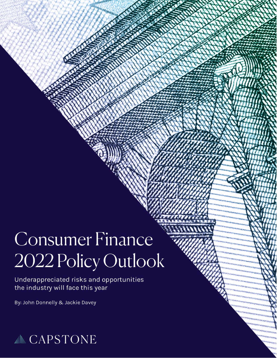# $\overline{\phantom{a}}$  $\overline{\phantom{0}}$ 2022 Policy Outlook

Underappreciated risks and opportunities<br>the industry will face this year

By: John Donnelly & Jackie Davey

January 25, 2022

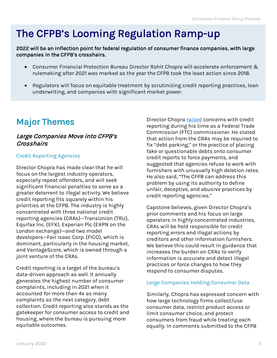## The CFPB's Looming Regulation Ramp-up

2022 will be an inflection point for federal regulation of consumer finance companies, with large companies in the CFPB's crosshairs.

- Consumer Financial Protection Bureau Director Rohit Chopra will accelerate enforcement & rulemaking after 2021 was marked as the year the CFPB took the least action since 2018.
- Regulators will focus on equitable treatment by scrutinizing credit reporting practices, loan underwriting, and companies with significant market power.

## Major Themes

### Large Companies Move into CFPB's **Crosshairs**

#### Credit Reporting Agencies

Director Chopra has made clear that he will focus on the largest industry operators, especially repeat offenders, and will seek significant financial penalties to serve as a greater deterrent to illegal activity. We believe credit reporting fits squarely within his priorities at the CFPB. The industry is highly concentrated with three national credit reporting agencies (CRAs)—TransUnion (TRU), Equifax Inc. (EFX), Experian Plc (EXPN on the London exchange)—and two model developers—Fair Isaac Corp. (FICO), which is dominant, particularly in the housing market, and VantageScore, which is owned through a joint venture of the CRAs.

Credit reporting is a target of the bureau's data-driven approach as well. It annually generates the highest number of consumer complaints, including in 2021 when it accounted for more than 4x as many complaints as the next category, debt collection. Credit reporting also stands as the gatekeeper for consumer access to credit and housing, where the bureau is pursuing more equitable outcomes.

Director Chopra [raised](https://www.ftc.gov/system/files/documents/public_statements/1583802/chopra_statement_for_midwest_recovery_systems.pdf) concerns with credit reporting during his time as a Federal Trade Commission (FTC) commissioner. He stated that action from the CRAs may be required to fix "debt parking," or the practice of placing fake or questionable debts onto consumer credit reports to force payments, and suggested that agencies refuse to work with furnishers with unusually high deletion rates. He also said, "The CFPB can address this problem by using its authority to define unfair, deceptive, and abusive practices by credit reporting agencies."

Capstone believes, given Director Chopra's prior comments and his focus on large operators in highly concentrated industries, CRAs will be held responsible for credit reporting errors and illegal actions by creditors and other information furnishers. We believe this could result in guidance that increases the burden on CRAs to verify information is accurate and detect illegal practices or force changes to how they respond to consumer disputes.

#### Large Companies Holding Consumer Data

Similarly, Chopra has expressed concern with how large technology firms collect/use consumer data, restrict product access or limit consumer choice, and protect consumers from fraud while treating each equally. In comments submitted to the CFPB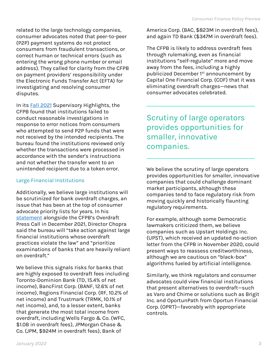related to the large technology companies, consumer advocates noted that peer-to-peer (P2P) payment systems do not protect consumers from fraudulent transactions, or correct human or technical errors (such as entering the wrong phone number or email address). They called for clarity from the CFPB on payment providers' responsibility under the Electronic Funds Transfer Act (EFTA) for investigating and resolving consumer disputes.

In its [Fall 2021](https://files.consumerfinance.gov/f/documents/cfpb_supervisory-highlights_issue-25_2021-12.pdf) Supervisory Highlights, the CFPB found that institutions failed to conduct reasonable investigations in response to error notices from consumers who attempted to send P2P funds that were not received by the intended recipients. The bureau found the institutions reviewed only whether the transactions were processed in accordance with the sender's instructions and not whether the transfer went to an unintended recipient due to a token error.

## Large Financial Institutions

Additionally, we believe large institutions will be scrutinized for bank overdraft charges, an issue that has been at the top of consumer advocate priority lists for years. In his [statement](https://www.consumerfinance.gov/about-us/newsroom/prepared-remarks-cfpb-director-rohit-chopra-overdraft-press-call/) alongside the CFPB's Overdraft Press Call in December 2021, Director Chopra said the bureau will "take action against large financial institutions whose overdraft practices violate the law" and "prioritize examinations of banks that are heavily reliant on overdraft."

We believe this signals risks for banks that are highly exposed to overdraft fees including Toronto-Dominion Bank (TD, 15.4% of net income), BancFirst Corp. (BANF, 12.6% of net income), Regions Financial Corp. (RF, 10.2% of net income) and Trustmark (TRMK, 10.1% of net income), and, to a lesser extent, banks that generate the most total income from overdraft, including Wells Fargo & Co. (WFC, \$1.0B in overdraft fees), JPMorgan Chase & Co. (JPM, \$924M in overdraft fees), Bank of

America Corp. (BAC, \$823M in overdraft fees), and again TD Bank (\$347M in overdraft fees).

The CFPB is likely to address overdraft fees through rulemaking, even as financial institutions "self-regulate" more and move away from the fees, including a highly publicized December 1<sup>st</sup> announcement by Capital One Financial Corp. (COF) that it was eliminating overdraft charges—news that consumer advocates celebrated.

Scrutiny of large operators provides opportunities for smaller, innovative companies.

We believe the scrutiny of large operators provides opportunities for smaller, innovative companies that could challenge dominant market participants, although these companies tend to face regulatory risk from moving quickly and historically flaunting regulatory requirements.

For example, although some Democratic lawmakers criticized them, we believe companies such as Upstart Holdings Inc. (UPST), which received an updated no-action letter from the CFPB in November 2020, could present ways to reassess creditworthiness, although we are cautious on "black-box" algorithms fueled by artificial intelligence.

Similarly, we think regulators and consumer advocates could view financial institutions that present alternatives to overdraft—such as Varo and Chime or solutions such as Brigit Inc. and OportunPath from Oportun Financial Corp. (OPRT)—favorably with appropriate controls.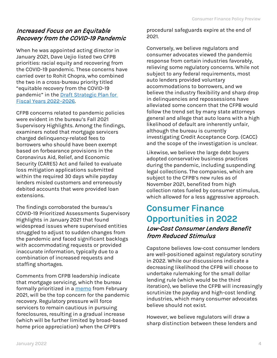## Increased Focus on an Equitable Recovery from the COVID-19 Pandemic

When he was appointed acting director in January 2021, Dave Uejio listed two CFPB priorities: racial equity and recovering from the COVID-19 pandemic. These concerns have carried over to Rohit Chopra, who combined the two in a cross-bureau priority titled "equitable recovery from the COVID-19 pandemic" in the [Draft Strategic Plan for](https://files.consumerfinance.gov/f/documents/cfpb_draft-strategic-plan_fy-2022-2026.pdf)  [Fiscal Years 2022](https://files.consumerfinance.gov/f/documents/cfpb_draft-strategic-plan_fy-2022-2026.pdf)–2026.

CFPB concerns related to pandemic policies were evident in the bureau's Fall 2021 Supervisory Highlights. Among the findings, examiners noted that mortgage servicers charged delinquency-related fees to borrowers who should have been exempt based on forbearance provisions in the Coronavirus Aid, Relief, and Economic Security (CARES) Act and failed to evaluate loss mitigation applications submitted within the required 30 days while payday lenders misled customers and erroneously debited accounts that were provided loan extensions.

The findings corroborated the bureau's COVID-19 Prioritized Assessments Supervisory Highlights in January 2021 that found widespread issues where supervised entities struggled to adjust to sudden changes from the pandemic and faced significant backlogs with accommodating requests or provided inaccurate information, typically due to a combination of increased requests and staffing shortages.

Comments from CFPB leadership indicate that mortgage servicing, which the bureau formally prioritized in a [memo](https://files.consumerfinance.gov/f/documents/cfpb_bulletin-2021-02_supervision-and-enforcement-priorities-regarding-housing_WHcae8E.pdf) from February 2021, will be the top concern for the pandemic recovery. Regulatory pressure will force servicers to remain cautious in pursuing foreclosures, resulting in a gradual increase (which will be further limited by broad-based home price appreciation) when the CFPB's

procedural safeguards expire at the end of 2021.

Conversely, we believe regulators and consumer advocates viewed the pandemic response from certain industries favorably, relieving some regulatory concerns. While not subject to any federal requirements, most auto lenders provided voluntary accommodations to borrowers, and we believe the industry flexibility and sharp drop in delinquencies and repossessions have alleviated some concern that the CFPB would follow the trend set by many state attorneys general and allege that auto loans with a high likelihood of default are inherently unfair, although the bureau is currently investigating Credit Acceptance Corp. (CACC) and the scope of the investigation is unclear.

Likewise, we believe the large debt buyers adopted conservative business practices during the pandemic, including suspending legal collections. The companies, which are subject to the CFPB's new rules as of November 2021, benefited from high collection rates fueled by consumer stimulus, which allowed for a less aggressive approach.

## Consumer Finance Opportunities in 2022

### Low-Cost Consumer Lenders Benefit from Reduced Stimulus

Capstone believes low-cost consumer lenders are well-positioned against regulatory scrutiny in 2022. While our discussions indicate a decreasing likelihood the CFPB will choose to undertake rulemaking for the small dollar lending rule (which would be the third iteration), we believe the CFPB will increasingly scrutinize the payday and high-cost lending industries, which many consumer advocates believe should not exist.

However, we believe regulators will draw a sharp distinction between these lenders and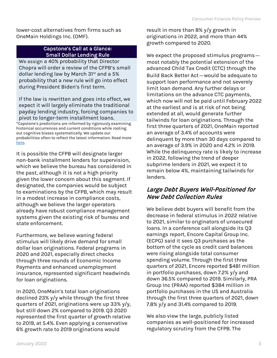lower-cost alternatives from firms such as OneMain Holdings Inc. (OMF).

#### Capstone's Call at a Glance: Small Dollar Lending Rule

We assign a 40% probability that Director Chopra will order a review of the CFPB's small dollar lending law by March 31<sup>st</sup> and a 5% probability that a new rule will go into effect during President Biden's first term.

If the law is rewritten and goes into effect, we expect it will largely eliminate the traditional payday lending industry, forcing companies to pivot to longer-term installment loans.

\*Capstone's predictions are informed by rigorously examining historical occurrences and current conditions while rooting out cognitive biases systematically. We update our probabilities often to reflect the latest information. Read more [here.](https://capstonedc.com/showing-our-work-capstones-quest-for-accuracy/)

It is possible the CFPB will designate larger non-bank installment lenders for supervision, which we believe the bureau has considered in the past, although it is not a high priority given the lower concern about this segment. If designated, the companies would be subject to examinations by the CFPB, which may result in a modest increase in compliance costs, although we believe the larger operators already have robust compliance management systems given the existing risk of bureau and state enforcement.

Furthermore, we believe waning federal stimulus will likely drive demand for small dollar loan originations. Federal programs in 2020 and 2021, especially direct checks through three rounds of Economic Income Payments and enhanced unemployment insurance, represented significant headwinds for loan originations.

In 2020, OneMain's total loan originations declined 23% y/y while through the first three quarters of 2021, originations were up 33% y/y, but still down 2% compared to 2019. Q3 2020 represented the first quarter of growth relative to 2019, at 5.4%. Even applying a conservative 6% growth rate to 2019 originations would

result in more than 8% y/y growth in originations in 2022, and more than 44% growth compared to 2020.

We expect the proposed stimulus programs most notably the potential extension of the advanced Child Tax Credit (CTC) through the Build Back Better Act—would be adequate to support loan performance and not severely limit loan demand. Any further delays or limitations on the advance CTC payments, which now will not be paid until February 2022 at the earliest and is at risk of not being extended at all, would generate further tailwinds for loan originations. Through the first three quarters of 2021, OneMain reported an average of 3.4% of accounts were delinquent by more than 30 days compared to an average of 3.9% in 2020 and 4.2% in 2019. While the delinquency rate is likely to increase in 2022, following the trend of deeper subprime lenders in 2021, we expect it to remain below 4%, maintaining tailwinds for lenders.

## Large Debt Buyers Well-Positioned for New Debt Collection Rules

We believe debt buyers will benefit from the decrease in federal stimulus in 2022 relative to 2021, similar to originators of unsecured loans. In a conference call alongside its Q3 earnings report, Encore Capital Group Inc. (ECPG) said it sees Q3 purchases as the bottom of the cycle as credit card balances were rising alongside total consumer spending volume. Through the first three quarters of 2021, Encore reported \$481 million in portfolio purchases, down 7.2% y/y and down 36.5% compared to 2019. Similarly, PRA Group Inc (PRAA) reported \$384 million in portfolio purchases in the US and Australia through the first three quarters of 2021, down 7.8% y/y and 31.4% compared to 2019.

We also view the large, publicly listed companies as well-positioned for increased regulatory scrutiny from the CFPB. The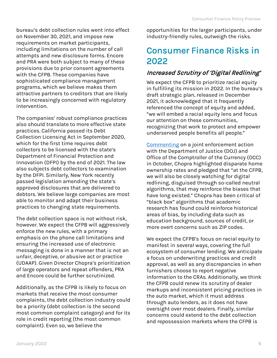bureau's debt collection rules went into effect on November 30, 2021, and impose new requirements on market participants, including limitations on the number of call attempts and new disclosure forms. Encore and PRA were both subject to many of these provisions due to prior consent agreements with the CFPB. These companies have sophisticated compliance management programs, which we believe makes them attractive partners to creditors that are likely to be increasingly concerned with regulatory intervention.

The companies' robust compliance practices also should translate to more effective state practices. California passed its Debt Collection Licensing Act in September 2020, which for the first time requires debt collectors to be licensed with the state's Department of Financial Protection and Innovation (DFPI) by the end of 2021. The law also subjects debt collectors to examination by the DFPI. Similarly, New York recently passed legislation amending the state's approved disclosures that are delivered to debtors. We believe large companies are most able to monitor and adapt their business practices to changing state requirements.

The debt collection space is not without risk, however. We expect the CFPB will aggressively enforce the new rules, with a primary emphasis on the phone call limitations and ensuring the increased use of electronic messaging is done in a manner that is not an unfair, deceptive, or abusive act or practice (UDAAP). Given Director Chopra's prioritization of large operators and repeat offenders, PRA and Encore could be further scrutinized.

Additionally, as the CFPB is likely to focus on markets that receive the most consumer complaints, the debt collection industry could be a priority (debt collection is the second most common complaint category) and for its role in credit reporting (the most common complaint). Even so, we believe the

opportunities for the larger participants, under industry-friendly rules, outweigh the risks.

## Consumer Finance Risks in 2022

### Increased Scrutiny of 'Digital Redlining'

We expect the CFPB to prioritize racial equity in fulfilling its mission in 2022. In the bureau's draft strategic plan, released in December 2021, it acknowledged that it frequently referenced the concept of equity and added, "we will embed a racial equity lens and focus our attention on these communities, recognizing that work to protect and empower underserved people benefits all people."

[Commenting](https://www.consumerfinance.gov/about-us/newsroom/remarks-of-director-rohit-chopra-at-a-joint-doj-cfpb-and-occ-press-conference-on-the-trustmark-national-bank-enforcement-action/) on a joint enforcement action with the Department of Justice (DOJ) and Office of the Comptroller of the Currency (OCC) in October, Chopra highlighted disparate home ownership rates and pledged that "at the CFPB, we will also be closely watching for digital redlining, disguised through so-called neutral algorithms, that may reinforce the biases that have long existed." Chopra has been critical of "black box" algorithms that academic research has found could reinforce historical areas of bias, by including data such as education background, sources of credit, or more overt concerns such as ZIP codes.

We expect the CFPB's focus on racial equity to manifest in several ways, covering the full ecosystem of consumer lending. We anticipate a focus on underwriting practices and credit approval, as well as any discrepancies in when furnishers choose to report negative information to the CRAs. Additionally, we think the CFPB could renew its scrutiny of dealer markups and inconsistent pricing practices in the auto market, which it must address through auto lenders, as it does not have oversight over most dealers. Finally, similar concerns could extend to the debt collection and repossession markets where the CFPB is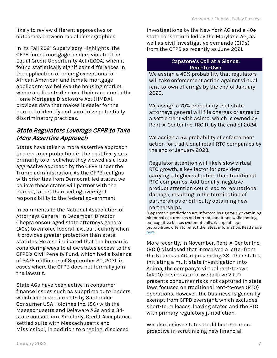likely to review different approaches or outcomes between racial demographics.

In its Fall 2021 Supervisory Highlights, the CFPB found mortgage lenders violated the Equal Credit Opportunity Act (ECOA) when it found statistically significant differences in the application of pricing exceptions for African American and female mortgage applicants. We believe the housing market, where applicants disclose their race due to the Home Mortgage Disclosure Act (HMDA), provides data that makes it easier for the bureau to identify and scrutinize potentially discriminatory practices.

## State Regulators Leverage CFPB to Take More Assertive Approach

States have taken a more assertive approach to consumer protection in the past five years, primarily to offset what they viewed as a less aggressive approach by the CFPB under the Trump administration. As the CFPB realigns with priorities from Democrat-led states, we believe these states will partner with the bureau, rather than ceding oversight responsibility to the federal government.

In comments to the National Association of Attorneys General in December, Director Chopra encouraged state attorneys general (AGs) to enforce federal law, particularly when it provides greater protection than state statutes. He also indicated that the bureau is considering ways to allow states access to the CFPB's Civil Penalty Fund, which had a balance of \$476 million as of September 30, 2021, in cases where the CFPB does not formally join the lawsuit.

State AGs have been active in consumer finance issues such as subprime auto lenders, which led to settlements by Santander Consumer USA Holdings Inc. (SC) with the Massachusetts and Delaware AGs and a 34 state consortium. Similarly, Credit Acceptance settled suits with Massachusetts and Mississippi, in addition to ongoing, disclosed

investigations by the New York AG and a 40+ state consortium led by the Maryland AG, as well as civil investigative demands (CIDs) from the CFPB as recently as June 2021.

#### Capstone's Call at a Glance: Rent-To-Own

We assign a 40% probability that regulators will take enforcement action against virtual rent-to-own offerings by the end of January 2023.

We assign a 70% probability that state attorneys general will file charges or agree to a settlement with Acima, which is owned by Rent-A-Center Inc. (RCII), by the end of 2024.

We assign a 5% probability of enforcement action for traditional retail RTO companies by the end of January 2023.

Regulator attention will likely slow virtual RTO growth, a key factor for providers carrying a higher valuation than traditional RTO companies. Additionally, negative product attention could lead to reputational damage, resulting in the termination of partnerships or difficulty obtaining new partnerships.

\*Capstone's predictions are informed by rigorously examining historical occurrences and current conditions while rooting out cognitive biases systematically. We update our probabilities often to reflect the latest information. Read more [here.](https://capstonedc.com/showing-our-work-capstones-quest-for-accuracy/)

More recently, in November, Rent-A-Center Inc. (RCII) disclosed that it received a letter from the Nebraska AG, representing 38 other states, initiating a multistate investigation into Acima, the company's virtual rent-to-own (VRTO) business arm. We believe VRTO presents consumer risks not captured in state laws focused on traditional rent-to-own (RTO) operations. However, the business is generally exempt from CFPB oversight, which excludes short-term leases, leaving states and the FTC with primary regulatory jurisdiction.

We also believe states could become more proactive in scrutinizing new financial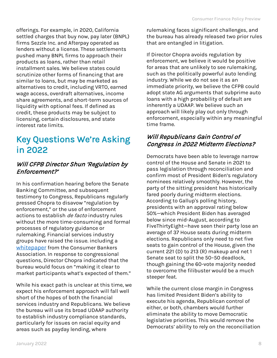offerings. For example, in 2020, California settled charges that buy now, pay later (BNPL) firms Sezzle Inc. and Afterpay operated as lenders without a license. These settlements pushed many BNPL firms to approach their products as loans, rather than retail installment sales. We believe states could scrutinize other forms of financing that are similar to loans, but may be marketed as alternatives to credit, including VRTO, earned wage access, overdraft alternatives, income share agreements, and short-term sources of liquidity with optional fees. If defined as credit, these products may be subject to licensing, certain disclosures, and state interest rate limits.

## Key Questions We're Asking in 2022

## Will CFPB Director Shun 'Regulation by Enforcement?'

In his confirmation hearing before the Senate Banking Committee, and subsequent testimony to Congress, Republicans regularly pressed Chopra to disavow "regulation by enforcement," or the use of enforcement actions to establish *de facto* industry rules without the more time-consuming and formal processes of regulatory guidance or rulemaking. Financial services industry groups have raised the issue. including a [whitepaper](https://www.consumerbankers.com/sites/default/files/CBA-White-Paper_Regulation-By-Enforcement.pdf) from the Consumer Bankers Association. In response to congressional questions, Director Chopra indicated that the bureau would focus on "making it clear to market participants what's expected of them."

While his exact path is unclear at this time, we expect his enforcement approach will fall well short of the hopes of both the financial services industry and Republicans. We believe the bureau will use its broad UDAAP authority to establish industry compliance standards, particularly for issues on racial equity and areas such as payday lending, where

rulemaking faces significant challenges, and the bureau has already released two prior rules that are entangled in litigation.

If Director Chopra avoids regulation by enforcement, we believe it would be positive for areas that are unlikely to see rulemaking, such as the politically powerful auto lending industry. While we do not see it as an immediate priority, we believe the CFPB could adopt state AG arguments that subprime auto loans with a high probability of default are inherently a UDAAP. We believe such an approach will likely play out only through enforcement, especially within any meaningful time frame.

### Will Republicans Gain Control of Congress in 2022 Midterm Elections?

Democrats have been able to leverage narrow control of the House and Senate in 2021 to pass legislation through reconciliation and confirm most of President Biden's regulatory nominees relatively smoothly. However, the party of the sitting president has historically fared poorly during midterm elections. According to Gallup's polling history, presidents with an approval rating below 50%—which President Biden has averaged below since mid-August, according to FiveThirtyEight—have seen their party lose an average of 37 House seats during midterm elections. Republicans only need to net five seats to gain control of the House, given the current 221 (D) to 213 (R) makeup and net 1 Senate seat to split the 50–50 deadlock, though gaining the 60-vote majority needed to overcome the filibuster would be a much steeper feat.

While the current close margin in Congress has limited President Biden's ability to execute his agenda, Republican control of either, or both, chambers would further eliminate the ability to move Democratic legislative priorities. This would remove the Democrats' ability to rely on the reconciliation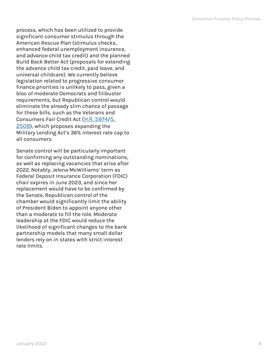process, which has been utilized to provide significant consumer stimulus through the American Rescue Plan (stimulus checks, enhanced federal unemployment insurance, and advance child tax credit) and the planned Build Back Better Act (proposals for extending the advance child tax credit, paid leave, and universal childcare). We currently believe legislation related to progressive consumer finance priorities is unlikely to pass, given a bloc of moderate Democrats and filibuster requirements, but Republican control would eliminate the already slim chance of passage for these bills, such as the Veterans and Consumers Fair Credit Act ([H.R. 5974](https://www.congress.gov/bill/117th-congress/house-bill/5974/all-info)/[S.](https://www.congress.gov/bill/117th-congress/senate-bill/2508)  [2508](https://www.congress.gov/bill/117th-congress/senate-bill/2508)), which proposes expanding the Military Lending Act's 36% interest rate cap to all consumers.

Senate control will be particularly important for confirming any outstanding nominations, as well as replacing vacancies that arise after 2022. Notably, Jelena McWilliams' term as Federal Deposit Insurance Corporation (FDIC) chair expires in June 2023, and since her replacement would have to be confirmed by the Senate, Republican control of the chamber would significantly limit the ability of President Biden to appoint anyone other than a moderate to fill the role. Moderate leadership at the FDIC would reduce the likelihood of significant changes to the bank partnership models that many small dollar lenders rely on in states with strict interest rate limits.